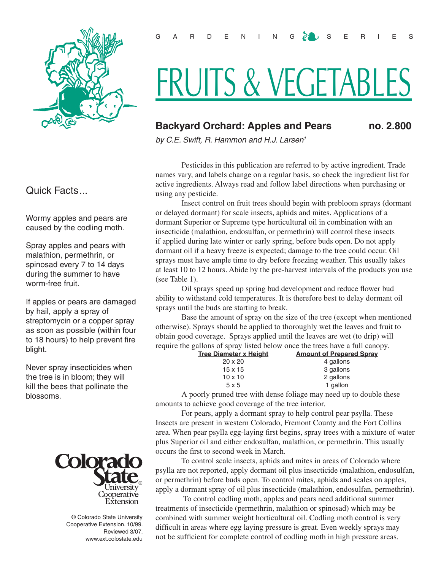

## Quick Facts...

Wormy apples and pears are caused by the codling moth.

Spray apples and pears with malathion, permethrin, or spinosad every 7 to 14 days during the summer to have worm-free fruit.

If apples or pears are damaged by hail, apply a spray of streptomycin or a copper spray as soon as possible (within four to 18 hours) to help prevent fire blight.

Never spray insecticides when the tree is in bloom; they will kill the bees that pollinate the blossoms.



© Colorado State University Cooperative Extension. 10/99. Reviewed 3/07. www.ext.colostate.edu

# FRUITS & VEGETABLES

# **Backyard Orchard: Apples and Pears no. 2.800**

*by C.E. Swift, R. Hammon and H.J. Larsen1*

Pesticides in this publication are referred to by active ingredient. Trade names vary, and labels change on a regular basis, so check the ingredient list for active ingredients. Always read and follow label directions when purchasing or using any pesticide.

Insect control on fruit trees should begin with prebloom sprays (dormant or delayed dormant) for scale insects, aphids and mites. Applications of a dormant Superior or Supreme type horticultural oil in combination with an insecticide (malathion, endosulfan, or permethrin) will control these insects if applied during late winter or early spring, before buds open. Do not apply dormant oil if a heavy freeze is expected; damage to the tree could occur. Oil sprays must have ample time to dry before freezing weather. This usually takes at least 10 to 12 hours. Abide by the pre-harvest intervals of the products you use (see Table 1).

Oil sprays speed up spring bud development and reduce flower bud ability to withstand cold temperatures. It is therefore best to delay dormant oil sprays until the buds are starting to break.

Base the amount of spray on the size of the tree (except when mentioned otherwise). Sprays should be applied to thoroughly wet the leaves and fruit to obtain good coverage. Sprays applied until the leaves are wet (to drip) will require the gallons of spray listed below once the trees have a full canopy.

| Tree Diameter x Height | <b>Amount of Prepared Spray</b> |
|------------------------|---------------------------------|
| $20 \times 20$         | 4 gallons                       |
| $15 \times 15$         | 3 gallons                       |
| $10 \times 10$         | 2 gallons                       |
| 5x5                    | 1 gallon                        |
|                        |                                 |

A poorly pruned tree with dense foliage may need up to double these amounts to achieve good coverage of the tree interior.

For pears, apply a dormant spray to help control pear psylla. These Insects are present in western Colorado, Fremont County and the Fort Collins area. When pear psylla egg-laying first begins, spray trees with a mixture of water plus Superior oil and either endosulfan, malathion, or permethrin. This usually occurs the first to second week in March.

To control scale insects, aphids and mites in areas of Colorado where psylla are not reported, apply dormant oil plus insecticide (malathion, endosulfan, or permethrin) before buds open. To control mites, aphids and scales on apples, apply a dormant spray of oil plus insecticide (malathion, endosulfan, permethrin).

 To control codling moth, apples and pears need additional summer treatments of insecticide (permethrin, malathion or spinosad) which may be combined with summer weight horticultural oil. Codling moth control is very difficult in areas where egg laying pressure is great. Even weekly sprays may not be sufficient for complete control of codling moth in high pressure areas.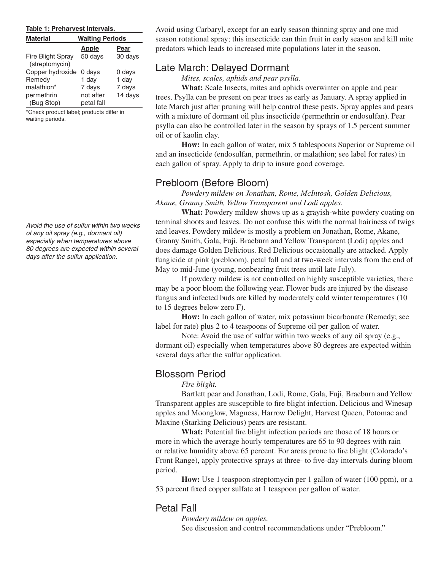#### **Table 1: Preharvest Intervals.**

| <b>Material</b>                            | <b>Waiting Periods</b> |         |  |  |
|--------------------------------------------|------------------------|---------|--|--|
|                                            | <b>Apple</b>           | Pear    |  |  |
| <b>Fire Blight Spray</b><br>(streptomycin) | 50 days                | 30 days |  |  |
| Copper hydroxide                           | 0 days                 | 0 days  |  |  |
| Remedy                                     | 1 day                  | 1 day   |  |  |
| malathion*                                 | 7 days                 | 7 days  |  |  |
| permethrin                                 | not after              | 14 days |  |  |
| (Bug Stop)                                 | petal fall             |         |  |  |

\*Check product label; products differ in waiting periods.

*Avoid the use of sulfur within two weeks of any oil spray (e.g., dormant oil) especially when temperatures above 80 degrees are expected within several days after the sulfur application.*

Avoid using Carbaryl, except for an early season thinning spray and one mid season rotational spray; this insecticide can thin fruit in early season and kill mite predators which leads to increased mite populations later in the season.

#### Late March: Delayed Dormant

*Mites, scales, aphids and pear psylla.*

**What:** Scale Insects, mites and aphids overwinter on apple and pear trees. Psylla can be present on pear trees as early as January. A spray applied in late March just after pruning will help control these pests. Spray apples and pears with a mixture of dormant oil plus insecticide (permethrin or endosulfan). Pear psylla can also be controlled later in the season by sprays of 1.5 percent summer oil or of kaolin clay.

**How:** In each gallon of water, mix 5 tablespoons Superior or Supreme oil and an insecticide (endosulfan, permethrin, or malathion; see label for rates) in each gallon of spray. Apply to drip to insure good coverage.

#### Prebloom (Before Bloom)

*Powdery mildew on Jonathan, Rome, McIntosh, Golden Delicious, Akane, Granny Smith, Yellow Transparent and Lodi apples.*

**What:** Powdery mildew shows up as a grayish-white powdery coating on terminal shoots and leaves. Do not confuse this with the normal hairiness of twigs and leaves. Powdery mildew is mostly a problem on Jonathan, Rome, Akane, Granny Smith, Gala, Fuji, Braeburn and Yellow Transparent (Lodi) apples and does damage Golden Delicious. Red Delicious occasionally are attacked. Apply fungicide at pink (prebloom), petal fall and at two-week intervals from the end of May to mid-June (young, nonbearing fruit trees until late July).

If powdery mildew is not controlled on highly susceptible varieties, there may be a poor bloom the following year. Flower buds are injured by the disease fungus and infected buds are killed by moderately cold winter temperatures (10 to 15 degrees below zero F).

**How:** In each gallon of water, mix potassium bicarbonate (Remedy; see label for rate) plus 2 to 4 teaspoons of Supreme oil per gallon of water.

Note: Avoid the use of sulfur within two weeks of any oil spray (e.g., dormant oil) especially when temperatures above 80 degrees are expected within several days after the sulfur application.

#### Blossom Period

*Fire blight.*

Bartlett pear and Jonathan, Lodi, Rome, Gala, Fuji, Braeburn and Yellow Transparent apples are susceptible to fire blight infection. Delicious and Winesap apples and Moonglow, Magness, Harrow Delight, Harvest Queen, Potomac and Maxine (Starking Delicious) pears are resistant.

**What:** Potential fire blight infection periods are those of 18 hours or more in which the average hourly temperatures are 65 to 90 degrees with rain or relative humidity above 65 percent. For areas prone to fire blight (Colorado's Front Range), apply protective sprays at three- to five-day intervals during bloom period.

**How:** Use 1 teaspoon streptomycin per 1 gallon of water (100 ppm), or a 53 percent fixed copper sulfate at 1 teaspoon per gallon of water.

#### Petal Fall

*Powdery mildew on apples.* See discussion and control recommendations under "Prebloom."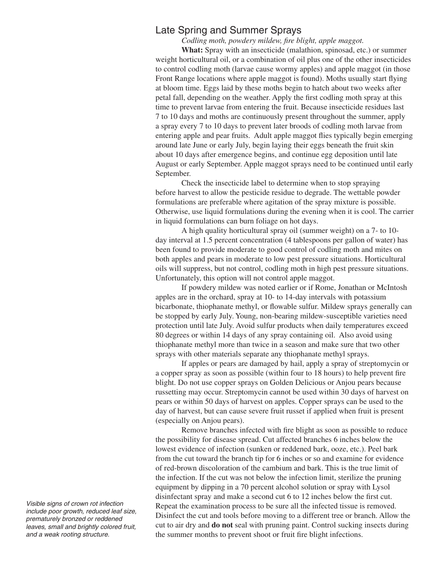### Late Spring and Summer Sprays

*Codling moth, powdery mildew, fire blight, apple maggot.*

**What:** Spray with an insecticide (malathion, spinosad, etc.) or summer weight horticultural oil, or a combination of oil plus one of the other insecticides to control codling moth (larvae cause wormy apples) and apple maggot (in those Front Range locations where apple maggot is found). Moths usually start flying at bloom time. Eggs laid by these moths begin to hatch about two weeks after petal fall, depending on the weather. Apply the first codling moth spray at this time to prevent larvae from entering the fruit. Because insecticide residues last 7 to 10 days and moths are continuously present throughout the summer, apply a spray every 7 to 10 days to prevent later broods of codling moth larvae from entering apple and pear fruits. Adult apple maggot flies typically begin emerging around late June or early July, begin laying their eggs beneath the fruit skin about 10 days after emergence begins, and continue egg deposition until late August or early September. Apple maggot sprays need to be continued until early September.

Check the insecticide label to determine when to stop spraying before harvest to allow the pesticide residue to degrade. The wettable powder formulations are preferable where agitation of the spray mixture is possible. Otherwise, use liquid formulations during the evening when it is cool. The carrier in liquid formulations can burn foliage on hot days.

A high quality horticultural spray oil (summer weight) on a 7- to 10 day interval at 1.5 percent concentration (4 tablespoons per gallon of water) has been found to provide moderate to good control of codling moth and mites on both apples and pears in moderate to low pest pressure situations. Horticultural oils will suppress, but not control, codling moth in high pest pressure situations. Unfortunately, this option will not control apple maggot.

If powdery mildew was noted earlier or if Rome, Jonathan or McIntosh apples are in the orchard, spray at 10- to 14-day intervals with potassium bicarbonate, thiophanate methyl, or flowable sulfur. Mildew sprays generally can be stopped by early July. Young, non-bearing mildew-susceptible varieties need protection until late July. Avoid sulfur products when daily temperatures exceed 80 degrees or within 14 days of any spray containing oil. Also avoid using thiophanate methyl more than twice in a season and make sure that two other sprays with other materials separate any thiophanate methyl sprays.

If apples or pears are damaged by hail, apply a spray of streptomycin or a copper spray as soon as possible (within four to 18 hours) to help prevent fire blight. Do not use copper sprays on Golden Delicious or Anjou pears because russetting may occur. Streptomycin cannot be used within 30 days of harvest on pears or within 50 days of harvest on apples. Copper sprays can be used to the day of harvest, but can cause severe fruit russet if applied when fruit is present (especially on Anjou pears).

Remove branches infected with fire blight as soon as possible to reduce the possibility for disease spread. Cut affected branches 6 inches below the lowest evidence of infection (sunken or reddened bark, ooze, etc.). Peel bark from the cut toward the branch tip for 6 inches or so and examine for evidence of red-brown discoloration of the cambium and bark. This is the true limit of the infection. If the cut was not below the infection limit, sterilize the pruning equipment by dipping in a 70 percent alcohol solution or spray with Lysol disinfectant spray and make a second cut 6 to 12 inches below the first cut. Repeat the examination process to be sure all the infected tissue is removed. Disinfect the cut and tools before moving to a different tree or branch. Allow the cut to air dry and **do not** seal with pruning paint. Control sucking insects during the summer months to prevent shoot or fruit fire blight infections.

*Visible signs of crown rot infection include poor growth, reduced leaf size, prematurely bronzed or reddened leaves, small and brightly colored fruit, and a weak rooting structure.*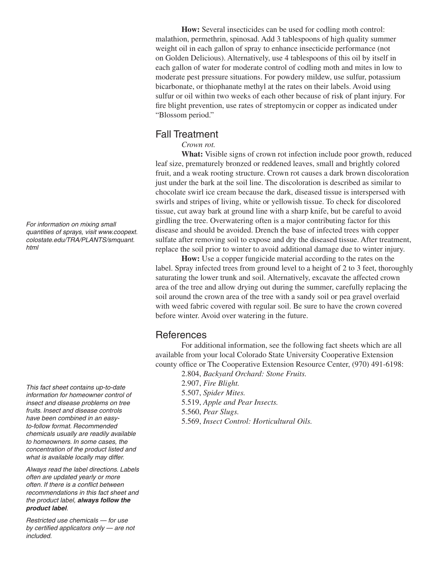**How:** Several insecticides can be used for codling moth control: malathion, permethrin, spinosad. Add 3 tablespoons of high quality summer weight oil in each gallon of spray to enhance insecticide performance (not on Golden Delicious). Alternatively, use 4 tablespoons of this oil by itself in each gallon of water for moderate control of codling moth and mites in low to moderate pest pressure situations. For powdery mildew, use sulfur, potassium bicarbonate, or thiophanate methyl at the rates on their labels. Avoid using sulfur or oil within two weeks of each other because of risk of plant injury. For fire blight prevention, use rates of streptomycin or copper as indicated under "Blossom period."

#### Fall Treatment

*Crown rot.*

**What:** Visible signs of crown rot infection include poor growth, reduced leaf size, prematurely bronzed or reddened leaves, small and brightly colored fruit, and a weak rooting structure. Crown rot causes a dark brown discoloration just under the bark at the soil line. The discoloration is described as similar to chocolate swirl ice cream because the dark, diseased tissue is interspersed with swirls and stripes of living, white or yellowish tissue. To check for discolored tissue, cut away bark at ground line with a sharp knife, but be careful to avoid girdling the tree. Overwatering often is a major contributing factor for this disease and should be avoided. Drench the base of infected trees with copper sulfate after removing soil to expose and dry the diseased tissue. After treatment, replace the soil prior to winter to avoid additional damage due to winter injury.

**How:** Use a copper fungicide material according to the rates on the label. Spray infected trees from ground level to a height of 2 to 3 feet, thoroughly saturating the lower trunk and soil. Alternatively, excavate the affected crown area of the tree and allow drying out during the summer, carefully replacing the soil around the crown area of the tree with a sandy soil or pea gravel overlaid with weed fabric covered with regular soil. Be sure to have the crown covered before winter. Avoid over watering in the future.

#### **References**

For additional information, see the following fact sheets which are all available from your local Colorado State University Cooperative Extension county office or The Cooperative Extension Resource Center, (970) 491-6198:

2.804, *Backyard Orchard: Stone Fruits.*

2.907, *Fire Blight.*

5.507, *Spider Mites.*

5.519, *Apple and Pear Insects.*

5.560, *Pear Slugs.*

5.569, *Insect Control: Horticultural Oils.*

*For information on mixing small quantities of sprays, visit www.coopext. colostate.edu/TRA/PLANTS/smquant. html*

*This fact sheet contains up-to-date information for homeowner control of insect and disease problems on tree fruits. Insect and disease controls have been combined in an easyto-follow format. Recommended chemicals usually are readily available to homeowners. In some cases, the concentration of the product listed and what is available locally may differ.* 

*Always read the label directions. Labels often are updated yearly or more often. If there is a conflict between recommendations in this fact sheet and the product label, always follow the product label.* 

*Restricted use chemicals — for use by certified applicators only — are not included.*